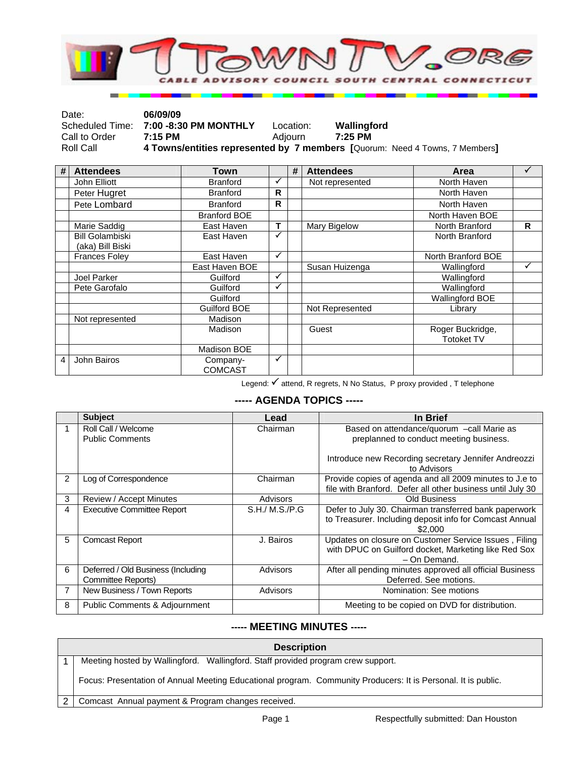

| Date:         | 06/09/09                              |           |                                                                             |
|---------------|---------------------------------------|-----------|-----------------------------------------------------------------------------|
|               | Scheduled Time: 7:00 -8:30 PM MONTHLY | Location: | Wallingford                                                                 |
| Call to Order | $7:15$ PM                             | Adiourn   | $7:25$ PM                                                                   |
| Roll Call     |                                       |           | 4 Towns/entities represented by 7 members [Quorum: Need 4 Towns, 7 Members] |

| # | <b>Attendees</b>                           | Town                       |   | # | <b>Attendees</b> | Area                                  |    |
|---|--------------------------------------------|----------------------------|---|---|------------------|---------------------------------------|----|
|   | John Elliott                               | <b>Branford</b>            | ✓ |   | Not represented  | North Haven                           |    |
|   | Peter Hugret                               | <b>Branford</b>            | R |   |                  | North Haven                           |    |
|   | Pete Lombard                               | <b>Branford</b>            | R |   |                  | North Haven                           |    |
|   |                                            | <b>Branford BOE</b>        |   |   |                  | North Haven BOE                       |    |
|   | Marie Saddig                               | East Haven                 | т |   | Mary Bigelow     | North Branford                        | R. |
|   | <b>Bill Golambiski</b><br>(aka) Bill Biski | East Haven                 | ✓ |   |                  | North Branford                        |    |
|   | <b>Frances Foley</b>                       | East Haven                 | ✓ |   |                  | North Branford BOE                    |    |
|   |                                            | East Haven BOE             |   |   | Susan Huizenga   | Wallingford                           | ✓  |
|   | Joel Parker                                | Guilford                   | ✓ |   |                  | Wallingford                           |    |
|   | Pete Garofalo                              | Guilford                   | ✓ |   |                  | Wallingford                           |    |
|   |                                            | Guilford                   |   |   |                  | <b>Wallingford BOE</b>                |    |
|   |                                            | <b>Guilford BOE</b>        |   |   | Not Represented  | Library                               |    |
|   | Not represented                            | Madison                    |   |   |                  |                                       |    |
|   |                                            | Madison                    |   |   | Guest            | Roger Buckridge,<br><b>Totoket TV</b> |    |
|   |                                            | Madison BOE                |   |   |                  |                                       |    |
| 4 | John Bairos                                | Company-<br><b>COMCAST</b> | ✓ |   |                  |                                       |    |

Legend:  $\checkmark$  attend, R regrets, N No Status, P proxy provided , T telephone

## **----- AGENDA TOPICS -----**

|   | <b>Subject</b>                                           | Lead           | In Brief                                                                                                                      |
|---|----------------------------------------------------------|----------------|-------------------------------------------------------------------------------------------------------------------------------|
|   | Roll Call / Welcome<br><b>Public Comments</b>            | Chairman       | Based on attendance/quorum -call Marie as<br>preplanned to conduct meeting business.                                          |
|   |                                                          |                | Introduce new Recording secretary Jennifer Andreozzi<br>to Advisors                                                           |
| 2 | Log of Correspondence                                    | Chairman       | Provide copies of agenda and all 2009 minutes to J.e to<br>file with Branford. Defer all other business until July 30         |
| 3 | Review / Accept Minutes                                  | Advisors       | <b>Old Business</b>                                                                                                           |
| 4 | <b>Executive Committee Report</b>                        | S.H./ M.S./P.G | Defer to July 30. Chairman transferred bank paperwork<br>to Treasurer. Including deposit info for Comcast Annual<br>\$2,000   |
| 5 | <b>Comcast Report</b>                                    | J. Bairos      | Updates on closure on Customer Service Issues, Filing<br>with DPUC on Guilford docket, Marketing like Red Sox<br>- On Demand. |
| 6 | Deferred / Old Business (Including<br>Committee Reports) | Advisors       | After all pending minutes approved all official Business<br>Deferred. See motions.                                            |
|   | New Business / Town Reports                              | Advisors       | Nomination: See motions                                                                                                       |
| 8 | <b>Public Comments &amp; Adjournment</b>                 |                | Meeting to be copied on DVD for distribution.                                                                                 |

## **----- MEETING MINUTES -----**

| <b>Description</b>                                                                                            |  |  |
|---------------------------------------------------------------------------------------------------------------|--|--|
| Meeting hosted by Wallingford. Wallingford. Staff provided program crew support.                              |  |  |
| Focus: Presentation of Annual Meeting Educational program. Community Producers: It is Personal. It is public. |  |  |
| Comcast Annual payment & Program changes received.                                                            |  |  |